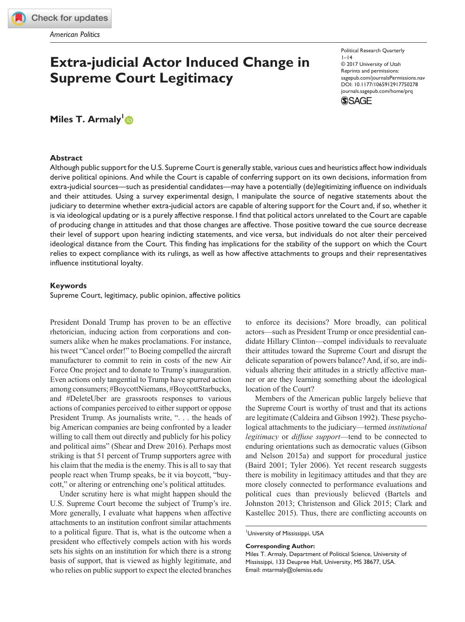**[750278](http://crossmark.crossref.org/dialog/?doi=10.1177%2F1065912917750278&domain=pdf&date_stamp=2017-12-31)** PRQXXX10.1177/1065912917750278Political Research Quarterly**Armaly**

*American Politics*

# **Extra-judicial Actor Induced Change in Supreme Court Legitimacy**

Political Research Quarterly  $1-14$ © 2017 University of Utah Reprints and permissions: [sagepub.com/journalsPermissions.nav](https://us.sagepub.com/en-us/journals-permissions) https://doi.org/10.1177/1065912917750278 DOI: 10.1177/1065912917750278 [journals.sagepub.com/home/prq](https://journals.sagepub.com/home/prq) **SSAGE** 

# **Miles T. Armaly**<sup>1</sup>

### **Abstract**

Although public support for the U.S. Supreme Court is generally stable, various cues and heuristics affect how individuals derive political opinions. And while the Court is capable of conferring support on its own decisions, information from extra-judicial sources—such as presidential candidates—may have a potentially (de)legitimizing influence on individuals and their attitudes. Using a survey experimental design, I manipulate the source of negative statements about the judiciary to determine whether extra-judicial actors are capable of altering support for the Court and, if so, whether it is via ideological updating or is a purely affective response. I find that political actors unrelated to the Court are capable of producing change in attitudes and that those changes are affective. Those positive toward the cue source decrease their level of support upon hearing indicting statements, and vice versa, but individuals do not alter their perceived ideological distance from the Court. This finding has implications for the stability of the support on which the Court relies to expect compliance with its rulings, as well as how affective attachments to groups and their representatives influence institutional loyalty.

#### **Keywords**

Supreme Court, legitimacy, public opinion, affective politics

President Donald Trump has proven to be an effective rhetorician, inducing action from corporations and consumers alike when he makes proclamations. For instance, his tweet "Cancel order!" to Boeing compelled the aircraft manufacturer to commit to rein in costs of the new Air Force One project and to donate to Trump's inauguration. Even actions only tangential to Trump have spurred action among consumers; #BoycottNiemans, #BoycottStarbucks, and #DeleteUber are grassroots responses to various actions of companies perceived to either support or oppose President Trump. As journalists write, ". . . the heads of big American companies are being confronted by a leader willing to call them out directly and publicly for his policy and political aims" (Shear and Drew 2016). Perhaps most striking is that 51 percent of Trump supporters agree with his claim that the media is the enemy. This is all to say that people react when Trump speaks, be it via boycott, "buycott," or altering or entrenching one's political attitudes.

Under scrutiny here is what might happen should the U.S. Supreme Court become the subject of Trump's ire. More generally, I evaluate what happens when affective attachments to an institution confront similar attachments to a political figure. That is, what is the outcome when a president who effectively compels action with his words sets his sights on an institution for which there is a strong basis of support, that is viewed as highly legitimate, and who relies on public support to expect the elected branches

to enforce its decisions? More broadly, can political actors—such as President Trump or once presidential candidate Hillary Clinton—compel individuals to reevaluate their attitudes toward the Supreme Court and disrupt the delicate separation of powers balance? And, if so, are individuals altering their attitudes in a strictly affective manner or are they learning something about the ideological location of the Court?

Members of the American public largely believe that the Supreme Court is worthy of trust and that its actions are legitimate (Caldeira and Gibson 1992). These psychological attachments to the judiciary—termed *institutional legitimacy* or *diffuse support*—tend to be connected to enduring orientations such as democratic values (Gibson and Nelson 2015a) and support for procedural justice (Baird 2001; Tyler 2006). Yet recent research suggests there is mobility in legitimacy attitudes and that they are more closely connected to performance evaluations and political cues than previously believed (Bartels and Johnston 2013; Christenson and Glick 2015; Clark and Kastellec 2015). Thus, there are conflicting accounts on

University of Mississippi, USA

**Corresponding Author:**

Miles T. Armaly, Department of Political Science, University of Mississippi, 133 Deupree Hall, University, MS 38677, USA. Email: [mtarmaly@olemiss.edu](mailto:mtarmaly@olemiss.edu)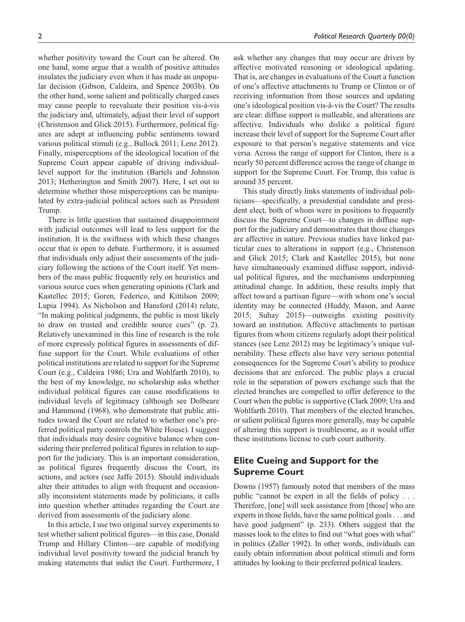whether positivity toward the Court can be altered. On one hand, some argue that a wealth of positive attitudes insulates the judiciary even when it has made an unpopular decision (Gibson, Caldeira, and Spence 2003b). On the other hand, some salient and politically charged cases may cause people to reevaluate their position vis-à-vis the judiciary and, ultimately, adjust their level of support (Christenson and Glick 2015). Furthermore, political figures are adept at influencing public sentiments toward various political stimuli (e.g., Bullock 2011; Lenz 2012). Finally, misperceptions of the ideological location of the Supreme Court appear capable of driving individuallevel support for the institution (Bartels and Johnston 2013; Hetherington and Smith 2007). Here, I set out to determine whether those misperceptions can be manipulated by extra-judicial political actors such as President Trump.

There is little question that sustained disappointment with judicial outcomes will lead to less support for the institution. It is the swiftness with which these changes occur that is open to debate. Furthermore, it is assumed that individuals only adjust their assessments of the judiciary following the actions of the Court itself. Yet members of the mass public frequently rely on heuristics and various source cues when generating opinions (Clark and Kastellec 2015; Goren, Federico, and Kittilson 2009; Lupia 1994). As Nicholson and Hansford (2014) relate, "In making political judgments, the public is most likely to draw on trusted and credible source cues" (p. 2). Relatively unexamined in this line of research is the role of more expressly political figures in assessments of diffuse support for the Court. While evaluations of other political institutions are related to support for the Supreme Court (e.g., Caldeira 1986; Ura and Wohlfarth 2010), to the best of my knowledge, no scholarship asks whether individual political figures can cause modifications to individual levels of legitimacy (although see Dolbeare and Hammond (1968), who demonstrate that public attitudes toward the Court are related to whether one's preferred political party controls the White House). I suggest that individuals may desire cognitive balance when considering their preferred political figures in relation to support for the judiciary. This is an important consideration, as political figures frequently discuss the Court, its actions, and actors (see Jaffe 2015). Should individuals alter their attitudes to align with frequent and occasionally inconsistent statements made by politicians, it calls into question whether attitudes regarding the Court are derived from assessments of the judiciary alone.

In this article, I use two original survey experiments to test whether salient political figures—in this case, Donald Trump and Hillary Clinton—are capable of modifying individual level positivity toward the judicial branch by making statements that indict the Court. Furthermore, I ask whether any changes that may occur are driven by affective motivated reasoning or ideological updating. That is, are changes in evaluations of the Court a function of one's affective attachments to Trump or Clinton or of receiving information from those sources and updating one's ideological position vis-à-vis the Court? The results are clear: diffuse support is malleable, and alterations are affective. Individuals who dislike a political figure increase their level of support for the Supreme Court after exposure to that person's negative statements and vice versa. Across the range of support for Clinton, there is a nearly 50 percent difference across the range of change in support for the Supreme Court. For Trump, this value is around 35 percent.

This study directly links statements of individual politicians—specifically, a presidential candidate and president elect, both of whom were in positions to frequently discuss the Supreme Court—to changes in diffuse support for the judiciary and demonstrates that those changes are affective in nature. Previous studies have linked particular cues to alterations in support (e.g., Christenson and Glick 2015; Clark and Kastellec 2015), but none have simultaneously examined diffuse support, individual political figures, and the mechanisms underpinning attitudinal change. In addition, these results imply that affect toward a partisan figure—with whom one's social identity may be connected (Huddy, Mason, and Aarøe 2015; Suhay 2015)—outweighs existing positivity toward an institution. Affective attachments to partisan figures from whom citizens regularly adopt their political stances (see Lenz 2012) may be legitimacy's unique vulnerability. These effects also have very serious potential consequences for the Supreme Court's ability to produce decisions that are enforced. The public plays a crucial role in the separation of powers exchange such that the elected branches are compelled to offer deference to the Court when the public is supportive (Clark 2009; Ura and Wohlfarth 2010). That members of the elected branches, or salient political figures more generally, may be capable of altering this support is troublesome, as it would offer these institutions license to curb court authority.

# **Elite Cueing and Support for the Supreme Court**

Downs (1957) famously noted that members of the mass public "cannot be expert in all the fields of policy . . . Therefore, [one] will seek assistance from [those] who are experts in those fields, have the same political goals . . . and have good judgment" (p. 233). Others suggest that the masses look to the elites to find out "what goes with what" in politics (Zaller 1992). In other words, individuals can easily obtain information about political stimuli and form attitudes by looking to their preferred political leaders.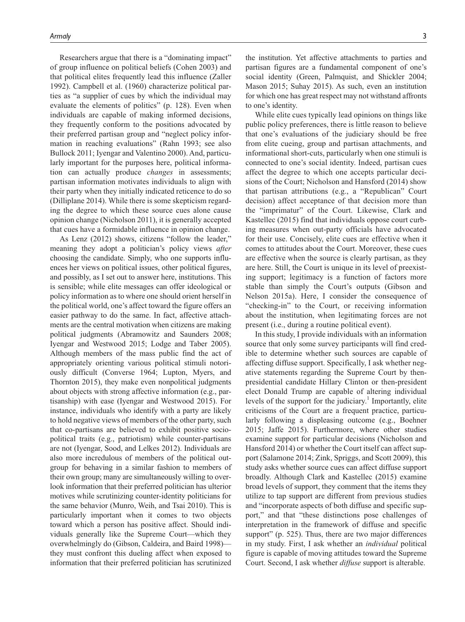Researchers argue that there is a "dominating impact" of group influence on political beliefs (Cohen 2003) and that political elites frequently lead this influence (Zaller 1992). Campbell et al. (1960) characterize political parties as "a supplier of cues by which the individual may evaluate the elements of politics" (p. 128). Even when individuals are capable of making informed decisions, they frequently conform to the positions advocated by their preferred partisan group and "neglect policy information in reaching evaluations" (Rahn 1993; see also Bullock 2011; Iyengar and Valentino 2000). And, particularly important for the purposes here, political information can actually produce *changes* in assessments; partisan information motivates individuals to align with their party when they initially indicated reticence to do so (Dilliplane 2014). While there is some skepticism regarding the degree to which these source cues alone cause opinion change (Nicholson 2011), it is generally accepted that cues have a formidable influence in opinion change.

As Lenz (2012) shows, citizens "follow the leader," meaning they adopt a politician's policy views *after* choosing the candidate. Simply, who one supports influences her views on political issues, other political figures, and possibly, as I set out to answer here, institutions. This is sensible; while elite messages can offer ideological or policy information as to where one should orient herself in the political world, one's affect toward the figure offers an easier pathway to do the same. In fact, affective attachments are the central motivation when citizens are making political judgments (Abramowitz and Saunders 2008; Iyengar and Westwood 2015; Lodge and Taber 2005). Although members of the mass public find the act of appropriately orienting various political stimuli notoriously difficult (Converse 1964; Lupton, Myers, and Thornton 2015), they make even nonpolitical judgments about objects with strong affective information (e.g., partisanship) with ease (Iyengar and Westwood 2015). For instance, individuals who identify with a party are likely to hold negative views of members of the other party, such that co-partisans are believed to exhibit positive sociopolitical traits (e.g., patriotism) while counter-partisans are not (Iyengar, Sood, and Lelkes 2012). Individuals are also more incredulous of members of the political outgroup for behaving in a similar fashion to members of their own group; many are simultaneously willing to overlook information that their preferred politician has ulterior motives while scrutinizing counter-identity politicians for the same behavior (Munro, Weih, and Tsai 2010). This is particularly important when it comes to two objects toward which a person has positive affect. Should individuals generally like the Supreme Court—which they overwhelmingly do (Gibson, Caldeira, and Baird 1998) they must confront this dueling affect when exposed to information that their preferred politician has scrutinized

the institution. Yet affective attachments to parties and partisan figures are a fundamental component of one's social identity (Green, Palmquist, and Shickler 2004; Mason 2015; Suhay 2015). As such, even an institution for which one has great respect may not withstand affronts to one's identity.

While elite cues typically lead opinions on things like public policy preferences, there is little reason to believe that one's evaluations of the judiciary should be free from elite cueing, group and partisan attachments, and informational short-cuts, particularly when one stimuli is connected to one's social identity. Indeed, partisan cues affect the degree to which one accepts particular decisions of the Court; Nicholson and Hansford (2014) show that partisan attributions (e.g., a "Republican" Court decision) affect acceptance of that decision more than the "imprimatur" of the Court. Likewise, Clark and Kastellec (2015) find that individuals oppose court curbing measures when out-party officials have advocated for their use. Concisely, elite cues are effective when it comes to attitudes about the Court. Moreover, these cues are effective when the source is clearly partisan, as they are here. Still, the Court is unique in its level of preexisting support; legitimacy is a function of factors more stable than simply the Court's outputs (Gibson and Nelson 2015a). Here, I consider the consequence of "checking-in" to the Court, or receiving information about the institution, when legitimating forces are not present (i.e., during a routine political event).

In this study, I provide individuals with an information source that only some survey participants will find credible to determine whether such sources are capable of affecting diffuse support. Specifically, I ask whether negative statements regarding the Supreme Court by thenpresidential candidate Hillary Clinton or then-president elect Donald Trump are capable of altering individual levels of the support for the judiciary.<sup>1</sup> Importantly, elite criticisms of the Court are a frequent practice, particularly following a displeasing outcome (e.g., Boehner 2015; Jaffe 2015). Furthermore, where other studies examine support for particular decisions (Nicholson and Hansford 2014) or whether the Court itself can affect support (Salamone 2014; Zink, Spriggs, and Scott 2009), this study asks whether source cues can affect diffuse support broadly. Although Clark and Kastellec (2015) examine broad levels of support, they comment that the items they utilize to tap support are different from previous studies and "incorporate aspects of both diffuse and specific support," and that "these distinctions pose challenges of interpretation in the framework of diffuse and specific support" (p. 525). Thus, there are two major differences in my study. First, I ask whether an *individual* political figure is capable of moving attitudes toward the Supreme Court. Second, I ask whether *diffuse* support is alterable.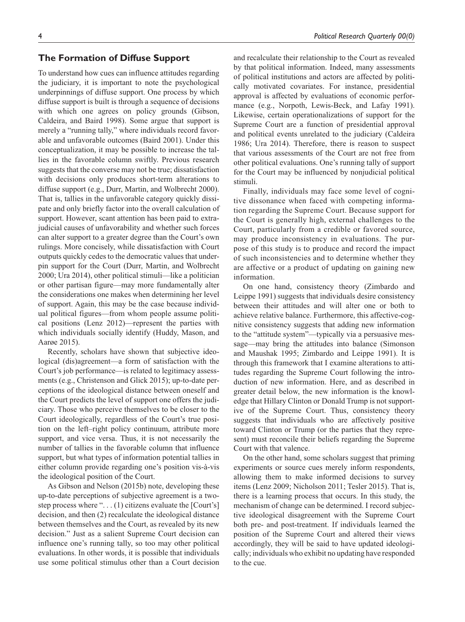### **The Formation of Diffuse Support**

To understand how cues can influence attitudes regarding the judiciary, it is important to note the psychological underpinnings of diffuse support. One process by which diffuse support is built is through a sequence of decisions with which one agrees on policy grounds (Gibson, Caldeira, and Baird 1998). Some argue that support is merely a "running tally," where individuals record favorable and unfavorable outcomes (Baird 2001). Under this conceptualization, it may be possible to increase the tallies in the favorable column swiftly. Previous research suggests that the converse may not be true; dissatisfaction with decisions only produces short-term alterations to diffuse support (e.g., Durr, Martin, and Wolbrecht 2000). That is, tallies in the unfavorable category quickly dissipate and only briefly factor into the overall calculation of support. However, scant attention has been paid to extrajudicial causes of unfavorability and whether such forces can alter support to a greater degree than the Court's own rulings. More concisely, while dissatisfaction with Court outputs quickly cedes to the democratic values that underpin support for the Court (Durr, Martin, and Wolbrecht 2000; Ura 2014), other political stimuli—like a politician or other partisan figure—may more fundamentally alter the considerations one makes when determining her level of support. Again, this may be the case because individual political figures—from whom people assume political positions (Lenz 2012)—represent the parties with which individuals socially identify (Huddy, Mason, and Aarøe 2015).

Recently, scholars have shown that subjective ideological (dis)agreement—a form of satisfaction with the Court's job performance—is related to legitimacy assessments (e.g., Christenson and Glick 2015); up-to-date perceptions of the ideological distance between oneself and the Court predicts the level of support one offers the judiciary. Those who perceive themselves to be closer to the Court ideologically, regardless of the Court's true position on the left–right policy continuum, attribute more support, and vice versa. Thus, it is not necessarily the number of tallies in the favorable column that influence support, but what types of information potential tallies in either column provide regarding one's position vis-à-vis the ideological position of the Court.

As Gibson and Nelson (2015b) note, developing these up-to-date perceptions of subjective agreement is a twostep process where ". . . (1) citizens evaluate the [Court's] decision, and then (2) recalculate the ideological distance between themselves and the Court, as revealed by its new decision." Just as a salient Supreme Court decision can influence one's running tally, so too may other political evaluations. In other words, it is possible that individuals use some political stimulus other than a Court decision and recalculate their relationship to the Court as revealed by that political information. Indeed, many assessments of political institutions and actors are affected by politically motivated covariates. For instance, presidential approval is affected by evaluations of economic performance (e.g., Norpoth, Lewis-Beck, and Lafay 1991). Likewise, certain operationalizations of support for the Supreme Court are a function of presidential approval and political events unrelated to the judiciary (Caldeira 1986; Ura 2014). Therefore, there is reason to suspect that various assessments of the Court are not free from other political evaluations. One's running tally of support for the Court may be influenced by nonjudicial political stimuli.

Finally, individuals may face some level of cognitive dissonance when faced with competing information regarding the Supreme Court. Because support for the Court is generally high, external challenges to the Court, particularly from a credible or favored source, may produce inconsistency in evaluations. The purpose of this study is to produce and record the impact of such inconsistencies and to determine whether they are affective or a product of updating on gaining new information.

On one hand, consistency theory (Zimbardo and Leippe 1991) suggests that individuals desire consistency between their attitudes and will alter one or both to achieve relative balance. Furthermore, this affective-cognitive consistency suggests that adding new information to the "attitude system"—typically via a persuasive message—may bring the attitudes into balance (Simonson and Maushak 1995; Zimbardo and Leippe 1991). It is through this framework that I examine alterations to attitudes regarding the Supreme Court following the introduction of new information. Here, and as described in greater detail below, the new information is the knowledge that Hillary Clinton or Donald Trump is not supportive of the Supreme Court. Thus, consistency theory suggests that individuals who are affectively positive toward Clinton or Trump (or the parties that they represent) must reconcile their beliefs regarding the Supreme Court with that valence.

On the other hand, some scholars suggest that priming experiments or source cues merely inform respondents, allowing them to make informed decisions to survey items (Lenz 2009; Nicholson 2011; Tesler 2015). That is, there is a learning process that occurs. In this study, the mechanism of change can be determined. I record subjective ideological disagreement with the Supreme Court both pre- and post-treatment. If individuals learned the position of the Supreme Court and altered their views accordingly, they will be said to have updated ideologically; individuals who exhibit no updating have responded to the cue.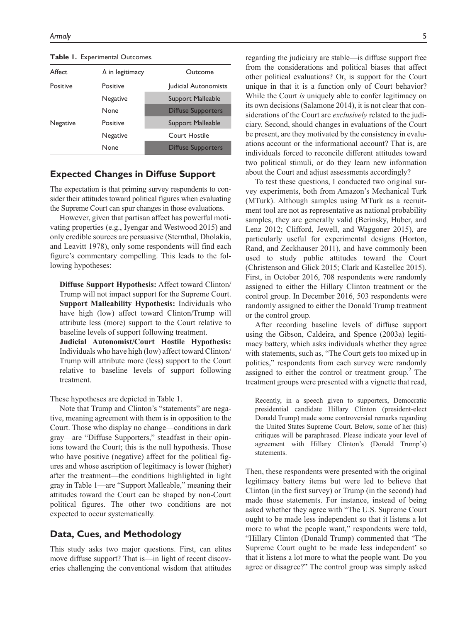| Affect   | $\Delta$ in legitimacy | Outcome                   |  |
|----------|------------------------|---------------------------|--|
| Positive | Positive               | Judicial Autonomists      |  |
|          | Negative               | Support Malleable         |  |
|          | None                   | <b>Diffuse Supporters</b> |  |
| Negative | Positive               | Support Malleable         |  |
|          | Negative               | <b>Court Hostile</b>      |  |
|          | None                   | <b>Diffuse Supporters</b> |  |

**Table 1.** Experimental Outcomes.

### **Expected Changes in Diffuse Support**

The expectation is that priming survey respondents to consider their attitudes toward political figures when evaluating the Supreme Court can spur changes in those evaluations.

However, given that partisan affect has powerful motivating properties (e.g., Iyengar and Westwood 2015) and only credible sources are persuasive (Sternthal, Dholakia, and Leavitt 1978), only some respondents will find each figure's commentary compelling. This leads to the following hypotheses:

**Diffuse Support Hypothesis:** Affect toward Clinton/ Trump will not impact support for the Supreme Court. **Support Malleability Hypothesis:** Individuals who have high (low) affect toward Clinton/Trump will attribute less (more) support to the Court relative to baseline levels of support following treatment.

**Judicial Autonomist/Court Hostile Hypothesis:** Individuals who have high (low) affect toward Clinton/ Trump will attribute more (less) support to the Court relative to baseline levels of support following treatment.

These hypotheses are depicted in Table 1.

Note that Trump and Clinton's "statements" are negative, meaning agreement with them is in opposition to the Court. Those who display no change—conditions in dark gray—are "Diffuse Supporters," steadfast in their opinions toward the Court; this is the null hypothesis. Those who have positive (negative) affect for the political figures and whose ascription of legitimacy is lower (higher) after the treatment—the conditions highlighted in light gray in Table 1—are "Support Malleable," meaning their attitudes toward the Court can be shaped by non-Court political figures. The other two conditions are not expected to occur systematically.

### **Data, Cues, and Methodology**

This study asks two major questions. First, can elites move diffuse support? That is—in light of recent discoveries challenging the conventional wisdom that attitudes regarding the judiciary are stable—is diffuse support free from the considerations and political biases that affect other political evaluations? Or, is support for the Court unique in that it is a function only of Court behavior? While the Court *is* uniquely able to confer legitimacy on its own decisions (Salamone 2014), it is not clear that considerations of the Court are *exclusively* related to the judiciary. Second, should changes in evaluations of the Court be present, are they motivated by the consistency in evaluations account or the informational account? That is, are individuals forced to reconcile different attitudes toward two political stimuli, or do they learn new information about the Court and adjust assessments accordingly?

To test these questions, I conducted two original survey experiments, both from Amazon's Mechanical Turk (MTurk). Although samples using MTurk as a recruitment tool are not as representative as national probability samples, they are generally valid (Berinsky, Huber, and Lenz 2012; Clifford, Jewell, and Waggoner 2015), are particularly useful for experimental designs (Horton, Rand, and Zeckhauser 2011), and have commonly been used to study public attitudes toward the Court (Christenson and Glick 2015; Clark and Kastellec 2015). First, in October 2016, 708 respondents were randomly assigned to either the Hillary Clinton treatment or the control group. In December 2016, 503 respondents were randomly assigned to either the Donald Trump treatment or the control group.

After recording baseline levels of diffuse support using the Gibson, Caldeira, and Spence (2003a) legitimacy battery, which asks individuals whether they agree with statements, such as, "The Court gets too mixed up in politics," respondents from each survey were randomly assigned to either the control or treatment group.<sup>2</sup> The treatment groups were presented with a vignette that read,

Recently, in a speech given to supporters, Democratic presidential candidate Hillary Clinton (president-elect Donald Trump) made some controversial remarks regarding the United States Supreme Court. Below, some of her (his) critiques will be paraphrased. Please indicate your level of agreement with Hillary Clinton's (Donald Trump's) statements.

Then, these respondents were presented with the original legitimacy battery items but were led to believe that Clinton (in the first survey) or Trump (in the second) had made those statements. For instance, instead of being asked whether they agree with "The U.S. Supreme Court ought to be made less independent so that it listens a lot more to what the people want," respondents were told, "Hillary Clinton (Donald Trump) commented that 'The Supreme Court ought to be made less independent' so that it listens a lot more to what the people want. Do you agree or disagree?" The control group was simply asked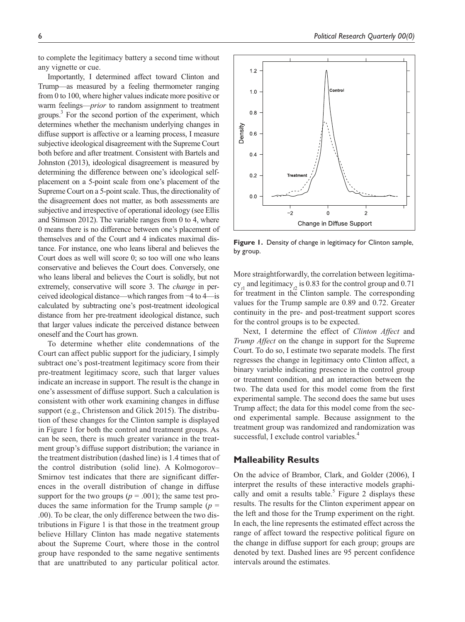to complete the legitimacy battery a second time without any vignette or cue.

Importantly, I determined affect toward Clinton and Trump—as measured by a feeling thermometer ranging from 0 to 100, where higher values indicate more positive or warm feelings—*prior* to random assignment to treatment groups.<sup>3</sup> For the second portion of the experiment, which determines whether the mechanism underlying changes in diffuse support is affective or a learning process, I measure subjective ideological disagreement with the Supreme Court both before and after treatment. Consistent with Bartels and Johnston (2013), ideological disagreement is measured by determining the difference between one's ideological selfplacement on a 5-point scale from one's placement of the Supreme Court on a 5-point scale. Thus, the directionality of the disagreement does not matter, as both assessments are subjective and irrespective of operational ideology (see Ellis and Stimson 2012). The variable ranges from 0 to 4, where 0 means there is no difference between one's placement of themselves and of the Court and 4 indicates maximal distance. For instance, one who leans liberal and believes the Court does as well will score 0; so too will one who leans conservative and believes the Court does. Conversely, one who leans liberal and believes the Court is solidly, but not extremely, conservative will score 3. The *change* in perceived ideological distance—which ranges from −4 to 4—is calculated by subtracting one's post-treatment ideological distance from her pre-treatment ideological distance, such that larger values indicate the perceived distance between oneself and the Court has grown.

To determine whether elite condemnations of the Court can affect public support for the judiciary, I simply subtract one's post-treatment legitimacy score from their pre-treatment legitimacy score, such that larger values indicate an increase in support. The result is the change in one's assessment of diffuse support. Such a calculation is consistent with other work examining changes in diffuse support (e.g., Christenson and Glick 2015). The distribution of these changes for the Clinton sample is displayed in Figure 1 for both the control and treatment groups. As can be seen, there is much greater variance in the treatment group's diffuse support distribution; the variance in the treatment distribution (dashed line) is 1.4 times that of the control distribution (solid line). A Kolmogorov– Smirnov test indicates that there are significant differences in the overall distribution of change in diffuse support for the two groups ( $p = .001$ ); the same test produces the same information for the Trump sample  $(p =$ .00). To be clear, the only difference between the two distributions in Figure 1 is that those in the treatment group believe Hillary Clinton has made negative statements about the Supreme Court, where those in the control group have responded to the same negative sentiments that are unattributed to any particular political actor.



**Figure 1.** Density of change in legitimacy for Clinton sample, by group.

More straightforwardly, the correlation between legitima- $\text{cy}_{t}$ <sub>1</sub> and legitimacy<sub> $\alpha$ </sub> is 0.83 for the control group and 0.71 for treatment in the Clinton sample. The corresponding values for the Trump sample are 0.89 and 0.72. Greater continuity in the pre- and post-treatment support scores for the control groups is to be expected.

Next, I determine the effect of *Clinton Affect* and *Trump Affect* on the change in support for the Supreme Court. To do so, I estimate two separate models. The first regresses the change in legitimacy onto Clinton affect, a binary variable indicating presence in the control group or treatment condition, and an interaction between the two. The data used for this model come from the first experimental sample. The second does the same but uses Trump affect; the data for this model come from the second experimental sample. Because assignment to the treatment group was randomized and randomization was successful, I exclude control variables.<sup>4</sup>

# **Malleability Results**

On the advice of Brambor, Clark, and Golder (2006), I interpret the results of these interactive models graphically and omit a results table.<sup>5</sup> Figure 2 displays these results. The results for the Clinton experiment appear on the left and those for the Trump experiment on the right. In each, the line represents the estimated effect across the range of affect toward the respective political figure on the change in diffuse support for each group; groups are denoted by text. Dashed lines are 95 percent confidence intervals around the estimates.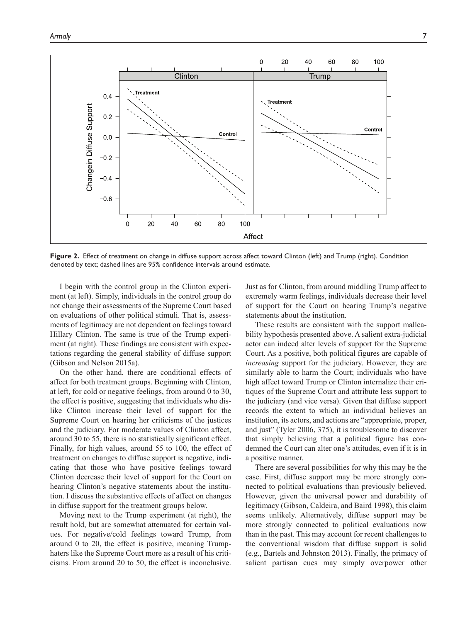

**Figure 2.** Effect of treatment on change in diffuse support across affect toward Clinton (left) and Trump (right). Condition denoted by text; dashed lines are 95% confidence intervals around estimate.

I begin with the control group in the Clinton experiment (at left). Simply, individuals in the control group do not change their assessments of the Supreme Court based on evaluations of other political stimuli. That is, assessments of legitimacy are not dependent on feelings toward Hillary Clinton. The same is true of the Trump experiment (at right). These findings are consistent with expectations regarding the general stability of diffuse support (Gibson and Nelson 2015a).

On the other hand, there are conditional effects of affect for both treatment groups. Beginning with Clinton, at left, for cold or negative feelings, from around 0 to 30, the effect is positive, suggesting that individuals who dislike Clinton increase their level of support for the Supreme Court on hearing her criticisms of the justices and the judiciary. For moderate values of Clinton affect, around 30 to 55, there is no statistically significant effect. Finally, for high values, around 55 to 100, the effect of treatment on changes to diffuse support is negative, indicating that those who have positive feelings toward Clinton decrease their level of support for the Court on hearing Clinton's negative statements about the institution. I discuss the substantive effects of affect on changes in diffuse support for the treatment groups below.

Moving next to the Trump experiment (at right), the result hold, but are somewhat attenuated for certain values. For negative/cold feelings toward Trump, from around 0 to 20, the effect is positive, meaning Trumphaters like the Supreme Court more as a result of his criticisms. From around 20 to 50, the effect is inconclusive.

Just as for Clinton, from around middling Trump affect to extremely warm feelings, individuals decrease their level of support for the Court on hearing Trump's negative statements about the institution.

These results are consistent with the support malleability hypothesis presented above. A salient extra-judicial actor can indeed alter levels of support for the Supreme Court. As a positive, both political figures are capable of *increasing* support for the judiciary. However, they are similarly able to harm the Court; individuals who have high affect toward Trump or Clinton internalize their critiques of the Supreme Court and attribute less support to the judiciary (and vice versa). Given that diffuse support records the extent to which an individual believes an institution, its actors, and actions are "appropriate, proper, and just" (Tyler 2006, 375), it is troublesome to discover that simply believing that a political figure has condemned the Court can alter one's attitudes, even if it is in a positive manner.

There are several possibilities for why this may be the case. First, diffuse support may be more strongly connected to political evaluations than previously believed. However, given the universal power and durability of legitimacy (Gibson, Caldeira, and Baird 1998), this claim seems unlikely. Alternatively, diffuse support may be more strongly connected to political evaluations now than in the past. This may account for recent challenges to the conventional wisdom that diffuse support is solid (e.g., Bartels and Johnston 2013). Finally, the primacy of salient partisan cues may simply overpower other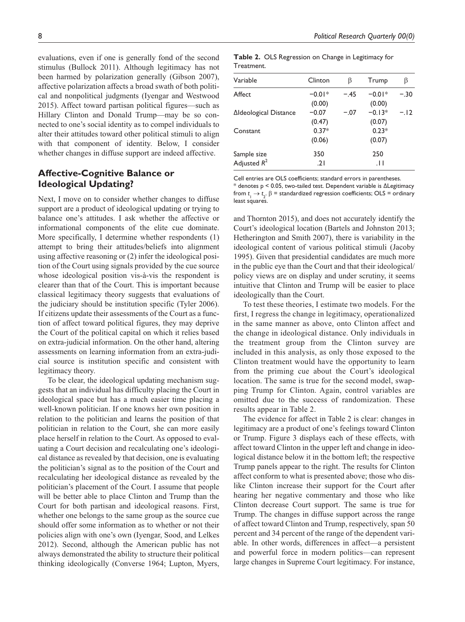evaluations, even if one is generally fond of the second stimulus (Bullock 2011). Although legitimacy has not been harmed by polarization generally (Gibson 2007), affective polarization affects a broad swath of both political and nonpolitical judgments (Iyengar and Westwood 2015). Affect toward partisan political figures—such as Hillary Clinton and Donald Trump—may be so connected to one's social identity as to compel individuals to alter their attitudes toward other political stimuli to align with that component of identity. Below, I consider whether changes in diffuse support are indeed affective.

# **Affective-Cognitive Balance or Ideological Updating?**

Next, I move on to consider whether changes to diffuse support are a product of ideological updating or trying to balance one's attitudes. I ask whether the affective or informational components of the elite cue dominate. More specifically, I determine whether respondents (1) attempt to bring their attitudes/beliefs into alignment using affective reasoning or (2) infer the ideological position of the Court using signals provided by the cue source whose ideological position vis-à-vis the respondent is clearer than that of the Court. This is important because classical legitimacy theory suggests that evaluations of the judiciary should be institution specific (Tyler 2006). If citizens update their assessments of the Court as a function of affect toward political figures, they may deprive the Court of the political capital on which it relies based on extra-judicial information. On the other hand, altering assessments on learning information from an extra-judicial source is institution specific and consistent with legitimacy theory.

To be clear, the ideological updating mechanism suggests that an individual has difficulty placing the Court in ideological space but has a much easier time placing a well-known politician. If one knows her own position in relation to the politician and learns the position of that politician in relation to the Court, she can more easily place herself in relation to the Court. As opposed to evaluating a Court decision and recalculating one's ideological distance as revealed by that decision, one is evaluating the politician's signal as to the position of the Court and recalculating her ideological distance as revealed by the politician's placement of the Court. I assume that people will be better able to place Clinton and Trump than the Court for both partisan and ideological reasons. First, whether one belongs to the same group as the source cue should offer some information as to whether or not their policies align with one's own (Iyengar, Sood, and Lelkes 2012). Second, although the American public has not always demonstrated the ability to structure their political thinking ideologically (Converse 1964; Lupton, Myers,

**Table 2.** OLS Regression on Change in Legitimacy for Treatment.

| Variable              | Clinton  | β      | Trump    | β      |
|-----------------------|----------|--------|----------|--------|
| Affect                | $-0.01*$ | $-.45$ | $-0.01*$ | $-.30$ |
|                       | (0.00)   |        | (0.00)   |        |
| ∆Ideological Distance | $-0.07$  | $-.07$ | $-0.13*$ | $-.12$ |
|                       | (0.47)   |        | (0.07)   |        |
| Constant              | $0.37*$  |        | $0.23*$  |        |
|                       | (0.06)   |        | (0.07)   |        |
| Sample size           | 350      |        | 250      |        |
| Adjusted $R^2$        | .21      |        | . H      |        |
|                       |          |        |          |        |

Cell entries are OLS coefficients; standard errors in parentheses.  $*$  denotes  $p < 0.05$ , two-tailed test. Dependent variable is  $\Delta$ Legitimacy from *t*<sub>1</sub> → *t*<sub>2</sub>. β = standardized regression coefficients; OLS = ordinary least squares.

and Thornton 2015), and does not accurately identify the Court's ideological location (Bartels and Johnston 2013; Hetherington and Smith 2007), there is variability in the ideological content of various political stimuli (Jacoby 1995). Given that presidential candidates are much more in the public eye than the Court and that their ideological/ policy views are on display and under scrutiny, it seems intuitive that Clinton and Trump will be easier to place ideologically than the Court.

To test these theories, I estimate two models. For the first, I regress the change in legitimacy, operationalized in the same manner as above, onto Clinton affect and the change in ideological distance. Only individuals in the treatment group from the Clinton survey are included in this analysis, as only those exposed to the Clinton treatment would have the opportunity to learn from the priming cue about the Court's ideological location. The same is true for the second model, swapping Trump for Clinton. Again, control variables are omitted due to the success of randomization. These results appear in Table 2.

The evidence for affect in Table 2 is clear: changes in legitimacy are a product of one's feelings toward Clinton or Trump. Figure 3 displays each of these effects, with affect toward Clinton in the upper left and change in ideological distance below it in the bottom left; the respective Trump panels appear to the right. The results for Clinton affect conform to what is presented above; those who dislike Clinton increase their support for the Court after hearing her negative commentary and those who like Clinton decrease Court support. The same is true for Trump. The changes in diffuse support across the range of affect toward Clinton and Trump, respectively, span 50 percent and 34 percent of the range of the dependent variable. In other words, differences in affect—a persistent and powerful force in modern politics—can represent large changes in Supreme Court legitimacy. For instance,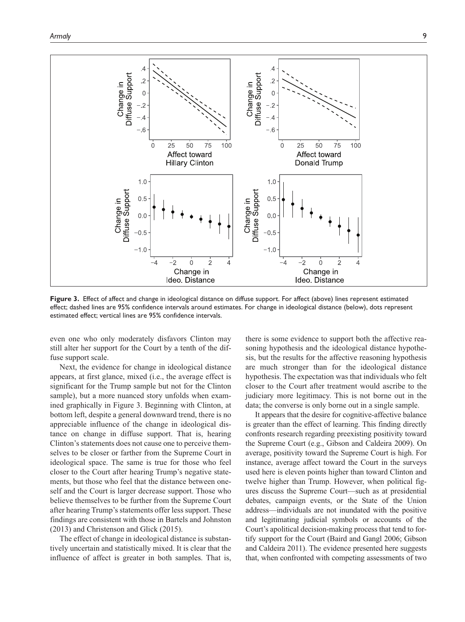

**Figure 3.** Effect of affect and change in ideological distance on diffuse support. For affect (above) lines represent estimated effect; dashed lines are 95% confidence intervals around estimates. For change in ideological distance (below), dots represent estimated effect; vertical lines are 95% confidence intervals.

even one who only moderately disfavors Clinton may still alter her support for the Court by a tenth of the diffuse support scale.

Next, the evidence for change in ideological distance appears, at first glance, mixed (i.e., the average effect is significant for the Trump sample but not for the Clinton sample), but a more nuanced story unfolds when examined graphically in Figure 3. Beginning with Clinton, at bottom left, despite a general downward trend, there is no appreciable influence of the change in ideological distance on change in diffuse support. That is, hearing Clinton's statements does not cause one to perceive themselves to be closer or farther from the Supreme Court in ideological space. The same is true for those who feel closer to the Court after hearing Trump's negative statements, but those who feel that the distance between oneself and the Court is larger decrease support. Those who believe themselves to be further from the Supreme Court after hearing Trump's statements offer less support. These findings are consistent with those in Bartels and Johnston (2013) and Christenson and Glick (2015).

The effect of change in ideological distance is substantively uncertain and statistically mixed. It is clear that the influence of affect is greater in both samples. That is,

there is some evidence to support both the affective reasoning hypothesis and the ideological distance hypothesis, but the results for the affective reasoning hypothesis are much stronger than for the ideological distance hypothesis. The expectation was that individuals who felt closer to the Court after treatment would ascribe to the judiciary more legitimacy. This is not borne out in the data; the converse is only borne out in a single sample.

It appears that the desire for cognitive-affective balance is greater than the effect of learning. This finding directly confronts research regarding preexisting positivity toward the Supreme Court (e.g., Gibson and Caldeira 2009). On average, positivity toward the Supreme Court is high. For instance, average affect toward the Court in the surveys used here is eleven points higher than toward Clinton and twelve higher than Trump. However, when political figures discuss the Supreme Court—such as at presidential debates, campaign events, or the State of the Union address—individuals are not inundated with the positive and legitimating judicial symbols or accounts of the Court's apolitical decision-making process that tend to fortify support for the Court (Baird and Gangl 2006; Gibson and Caldeira 2011). The evidence presented here suggests that, when confronted with competing assessments of two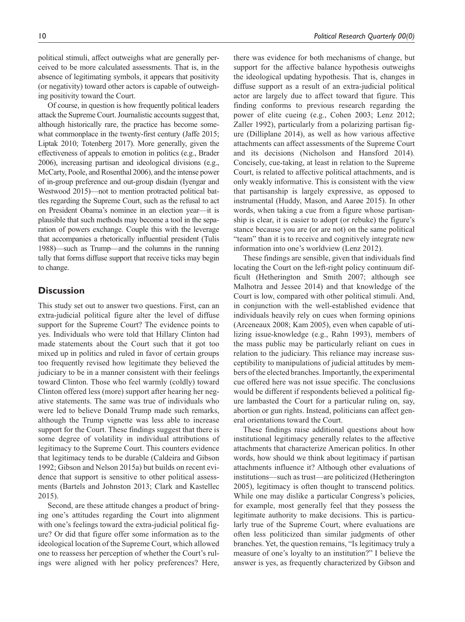political stimuli, affect outweighs what are generally perceived to be more calculated assessments. That is, in the absence of legitimating symbols, it appears that positivity (or negativity) toward other actors is capable of outweighing positivity toward the Court.

Of course, in question is how frequently political leaders attack the Supreme Court. Journalistic accounts suggest that, although historically rare, the practice has become somewhat commonplace in the twenty-first century (Jaffe 2015; Liptak 2010; Totenberg 2017). More generally, given the effectiveness of appeals to emotion in politics (e.g., Brader 2006), increasing partisan and ideological divisions (e.g., McCarty, Poole, and Rosenthal 2006), and the intense power of in-group preference and out-group disdain (Iyengar and Westwood 2015)—not to mention protracted political battles regarding the Supreme Court, such as the refusal to act on President Obama's nominee in an election year—it is plausible that such methods may become a tool in the separation of powers exchange. Couple this with the leverage that accompanies a rhetorically influential president (Tulis 1988)—such as Trump—and the columns in the running tally that forms diffuse support that receive ticks may begin to change.

# **Discussion**

This study set out to answer two questions. First, can an extra-judicial political figure alter the level of diffuse support for the Supreme Court? The evidence points to yes. Individuals who were told that Hillary Clinton had made statements about the Court such that it got too mixed up in politics and ruled in favor of certain groups too frequently revised how legitimate they believed the judiciary to be in a manner consistent with their feelings toward Clinton. Those who feel warmly (coldly) toward Clinton offered less (more) support after hearing her negative statements. The same was true of individuals who were led to believe Donald Trump made such remarks, although the Trump vignette was less able to increase support for the Court. These findings suggest that there is some degree of volatility in individual attributions of legitimacy to the Supreme Court. This counters evidence that legitimacy tends to be durable (Caldeira and Gibson 1992; Gibson and Nelson 2015a) but builds on recent evidence that support is sensitive to other political assessments (Bartels and Johnston 2013; Clark and Kastellec 2015).

Second, are these attitude changes a product of bringing one's attitudes regarding the Court into alignment with one's feelings toward the extra-judicial political figure? Or did that figure offer some information as to the ideological location of the Supreme Court, which allowed one to reassess her perception of whether the Court's rulings were aligned with her policy preferences? Here, there was evidence for both mechanisms of change, but support for the affective balance hypothesis outweighs the ideological updating hypothesis. That is, changes in diffuse support as a result of an extra-judicial political actor are largely due to affect toward that figure. This finding conforms to previous research regarding the power of elite cueing (e.g., Cohen 2003; Lenz 2012; Zaller 1992), particularly from a polarizing partisan figure (Dilliplane 2014), as well as how various affective attachments can affect assessments of the Supreme Court and its decisions (Nicholson and Hansford 2014). Concisely, cue-taking, at least in relation to the Supreme Court, is related to affective political attachments, and is only weakly informative. This is consistent with the view that partisanship is largely expressive, as opposed to instrumental (Huddy, Mason, and Aarøe 2015). In other words, when taking a cue from a figure whose partisanship is clear, it is easier to adopt (or rebuke) the figure's stance because you are (or are not) on the same political "team" than it is to receive and cognitively integrate new information into one's worldview (Lenz 2012).

These findings are sensible, given that individuals find locating the Court on the left-right policy continuum difficult (Hetherington and Smith 2007; although see Malhotra and Jessee 2014) and that knowledge of the Court is low, compared with other political stimuli. And, in conjunction with the well-established evidence that individuals heavily rely on cues when forming opinions (Arceneaux 2008; Kam 2005), even when capable of utilizing issue-knowledge (e.g., Rahn 1993), members of the mass public may be particularly reliant on cues in relation to the judiciary. This reliance may increase susceptibility to manipulations of judicial attitudes by members of the elected branches. Importantly, the experimental cue offered here was not issue specific. The conclusions would be different if respondents believed a political figure lambasted the Court for a particular ruling on, say, abortion or gun rights. Instead, politicians can affect general orientations toward the Court.

These findings raise additional questions about how institutional legitimacy generally relates to the affective attachments that characterize American politics. In other words, how should we think about legitimacy if partisan attachments influence it? Although other evaluations of institutions—such as trust—are politicized (Hetherington 2005), legitimacy is often thought to transcend politics. While one may dislike a particular Congress's policies, for example, most generally feel that they possess the legitimate authority to make decisions. This is particularly true of the Supreme Court, where evaluations are often less politicized than similar judgments of other branches. Yet, the question remains, "Is legitimacy truly a measure of one's loyalty to an institution?" I believe the answer is yes, as frequently characterized by Gibson and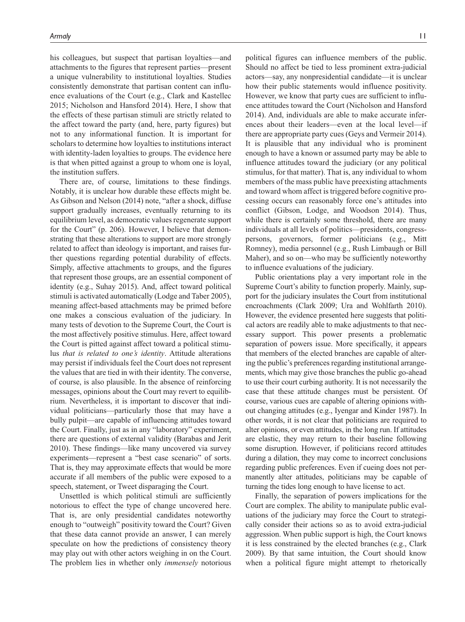his colleagues, but suspect that partisan loyalties—and attachments to the figures that represent parties—present a unique vulnerability to institutional loyalties. Studies consistently demonstrate that partisan content can influence evaluations of the Court (e.g., Clark and Kastellec 2015; Nicholson and Hansford 2014). Here, I show that the effects of these partisan stimuli are strictly related to the affect toward the party (and, here, party figures) but not to any informational function. It is important for scholars to determine how loyalties to institutions interact with identity-laden loyalties to groups. The evidence here is that when pitted against a group to whom one is loyal, the institution suffers.

There are, of course, limitations to these findings. Notably, it is unclear how durable these effects might be. As Gibson and Nelson (2014) note, "after a shock, diffuse support gradually increases, eventually returning to its equilibrium level, as democratic values regenerate support for the Court" (p. 206). However, I believe that demonstrating that these alterations to support are more strongly related to affect than ideology is important, and raises further questions regarding potential durability of effects. Simply, affective attachments to groups, and the figures that represent those groups, are an essential component of identity (e.g., Suhay 2015). And, affect toward political stimuli is activated automatically (Lodge and Taber 2005), meaning affect-based attachments may be primed before one makes a conscious evaluation of the judiciary. In many tests of devotion to the Supreme Court, the Court is the most affectively positive stimulus. Here, affect toward the Court is pitted against affect toward a political stimulus *that is related to one's identity*. Attitude alterations may persist if individuals feel the Court does not represent the values that are tied in with their identity. The converse, of course, is also plausible. In the absence of reinforcing messages, opinions about the Court may revert to equilibrium. Nevertheless, it is important to discover that individual politicians—particularly those that may have a bully pulpit—are capable of influencing attitudes toward the Court. Finally, just as in any "laboratory" experiment, there are questions of external validity (Barabas and Jerit 2010). These findings—like many uncovered via survey experiments—represent a "best case scenario" of sorts. That is, they may approximate effects that would be more accurate if all members of the public were exposed to a speech, statement, or Tweet disparaging the Court.

Unsettled is which political stimuli are sufficiently notorious to effect the type of change uncovered here. That is, are only presidential candidates noteworthy enough to "outweigh" positivity toward the Court? Given that these data cannot provide an answer, I can merely speculate on how the predictions of consistency theory may play out with other actors weighing in on the Court. The problem lies in whether only *immensely* notorious

political figures can influence members of the public. Should no affect be tied to less prominent extra-judicial actors—say, any nonpresidential candidate—it is unclear how their public statements would influence positivity. However, we know that party cues are sufficient to influence attitudes toward the Court (Nicholson and Hansford 2014). And, individuals are able to make accurate inferences about their leaders—even at the local level—if there are appropriate party cues (Geys and Vermeir 2014). It is plausible that any individual who is prominent enough to have a known or assumed party may be able to influence attitudes toward the judiciary (or any political stimulus, for that matter). That is, any individual to whom members of the mass public have preexisting attachments and toward whom affect is triggered before cognitive processing occurs can reasonably force one's attitudes into conflict (Gibson, Lodge, and Woodson 2014). Thus, while there is certainly some threshold, there are many individuals at all levels of politics—presidents, congresspersons, governors, former politicians (e.g., Mitt Romney), media personnel (e.g., Rush Limbaugh or Bill Maher), and so on—who may be sufficiently noteworthy to influence evaluations of the judiciary.

Public orientations play a very important role in the Supreme Court's ability to function properly. Mainly, support for the judiciary insulates the Court from institutional encroachments (Clark 2009; Ura and Wohlfarth 2010). However, the evidence presented here suggests that political actors are readily able to make adjustments to that necessary support. This power presents a problematic separation of powers issue. More specifically, it appears that members of the elected branches are capable of altering the public's preferences regarding institutional arrangements, which may give those branches the public go-ahead to use their court curbing authority. It is not necessarily the case that these attitude changes must be persistent. Of course, various cues are capable of altering opinions without changing attitudes (e.g., Iyengar and Kinder 1987). In other words, it is not clear that politicians are required to alter opinions, or even attitudes, in the long run. If attitudes are elastic, they may return to their baseline following some disruption. However, if politicians record attitudes during a dilation, they may come to incorrect conclusions regarding public preferences. Even if cueing does not permanently alter attitudes, politicians may be capable of turning the tides long enough to have license to act.

Finally, the separation of powers implications for the Court are complex. The ability to manipulate public evaluations of the judiciary may force the Court to strategically consider their actions so as to avoid extra-judicial aggression. When public support is high, the Court knows it is less constrained by the elected branches (e.g., Clark 2009). By that same intuition, the Court should know when a political figure might attempt to rhetorically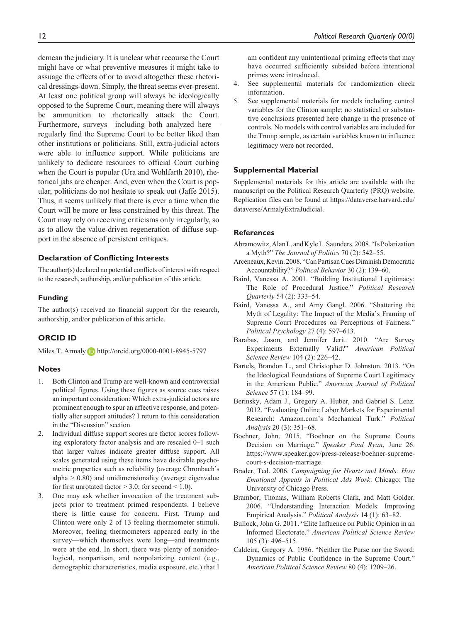demean the judiciary. It is unclear what recourse the Court might have or what preventive measures it might take to assuage the effects of or to avoid altogether these rhetorical dressings-down. Simply, the threat seems ever-present. At least one political group will always be ideologically opposed to the Supreme Court, meaning there will always be ammunition to rhetorically attack the Court. Furthermore, surveys—including both analyzed here regularly find the Supreme Court to be better liked than other institutions or politicians. Still, extra-judicial actors were able to influence support. While politicians are unlikely to dedicate resources to official Court curbing when the Court is popular (Ura and Wohlfarth 2010), rhetorical jabs are cheaper. And, even when the Court is popular, politicians do not hesitate to speak out (Jaffe 2015). Thus, it seems unlikely that there is ever a time when the Court will be more or less constrained by this threat. The Court may rely on receiving criticisms only irregularly, so as to allow the value-driven regeneration of diffuse support in the absence of persistent critiques.

### **Declaration of Conflicting Interests**

The author(s) declared no potential conflicts of interest with respect to the research, authorship, and/or publication of this article.

#### **Funding**

The author(s) received no financial support for the research, authorship, and/or publication of this article.

#### **ORCID ID**

Miles T. Armaly **iD**<http://orcid.org/0000-0001-8945-5797>

#### **Notes**

- 1. Both Clinton and Trump are well-known and controversial political figures. Using these figures as source cues raises an important consideration: Which extra-judicial actors are prominent enough to spur an affective response, and potentially alter support attitudes? I return to this consideration in the "Discussion" section.
- 2. Individual diffuse support scores are factor scores following exploratory factor analysis and are rescaled 0–1 such that larger values indicate greater diffuse support. All scales generated using these items have desirable psychometric properties such as reliability (average Chronbach's alpha  $> 0.80$ ) and unidimensionality (average eigenvalue for first unrotated factor  $> 3.0$ ; for second  $< 1.0$ ).
- 3. One may ask whether invocation of the treatment subjects prior to treatment primed respondents. I believe there is little cause for concern. First, Trump and Clinton were only 2 of 13 feeling thermometer stimuli. Moreover, feeling thermometers appeared early in the survey—which themselves were long—and treatments were at the end. In short, there was plenty of nonideological, nonpartisan, and nonpolarizing content (e.g., demographic characteristics, media exposure, etc.) that I

am confident any unintentional priming effects that may have occurred sufficiently subsided before intentional primes were introduced.

- 4. See supplemental materials for randomization check information.
- 5. See supplemental materials for models including control variables for the Clinton sample; no statistical or substantive conclusions presented here change in the presence of controls. No models with control variables are included for the Trump sample, as certain variables known to influence legitimacy were not recorded.

#### **Supplemental Material**

Supplemental materials for this article are available with the manuscript on the Political Research Quarterly (PRQ) website. Replication files can be found at [https://dataverse.harvard.edu/](https://dataverse.harvard.edu/dataverse/ArmalyExtraJudicial) [dataverse/ArmalyExtraJudicial](https://dataverse.harvard.edu/dataverse/ArmalyExtraJudicial).

### **References**

- Abramowitz, Alan I., and Kyle L. Saunders. 2008. "Is Polarization a Myth?" *The Journal of Politics* 70 (2): 542–55.
- Arceneaux, Kevin. 2008. "Can Partisan Cues Diminish Democratic Accountability?" *Political Behavior* 30 (2): 139–60.
- Baird, Vanessa A. 2001. "Building Institutional Legitimacy: The Role of Procedural Justice." *Political Research Quarterly* 54 (2): 333–54.
- Baird, Vanessa A., and Amy Gangl. 2006. "Shattering the Myth of Legality: The Impact of the Media's Framing of Supreme Court Procedures on Perceptions of Fairness." *Political Psychology* 27 (4): 597–613.
- Barabas, Jason, and Jennifer Jerit. 2010. "Are Survey Experiments Externally Valid?" *American Political Science Review* 104 (2): 226–42.
- Bartels, Brandon L., and Christopher D. Johnston. 2013. "On the Ideological Foundations of Supreme Court Legitimacy in the American Public." *American Journal of Political Science* 57 (1): 184–99.
- Berinsky, Adam J., Gregory A. Huber, and Gabriel S. Lenz. 2012. "Evaluating Online Labor Markets for Experimental Research: Amazon.com's Mechanical Turk." *Political Analysis* 20 (3): 351–68.
- Boehner, John. 2015. "Boehner on the Supreme Courts Decision on Marriage." *Speaker Paul Ryan*, June 26. [https://www.speaker.gov/press-release/boehner-supreme](https://www.speaker.gov/press-release/boehner-supreme-court-s-decision-marriage)[court-s-decision-marriage](https://www.speaker.gov/press-release/boehner-supreme-court-s-decision-marriage).
- Brader, Ted. 2006. *Campaigning for Hearts and Minds: How Emotional Appeals in Political Ads Work*. Chicago: The University of Chicago Press.
- Brambor, Thomas, William Roberts Clark, and Matt Golder. 2006. "Understanding Interaction Models: Improving Empirical Analysis." *Political Analysis* 14 (1): 63–82.
- Bullock, John G. 2011. "Elite Influence on Public Opinion in an Informed Electorate." *American Political Science Review* 105 (3): 496–515.
- Caldeira, Gregory A. 1986. "Neither the Purse nor the Sword: Dynamics of Public Confidence in the Supreme Court." *American Political Science Review* 80 (4): 1209–26.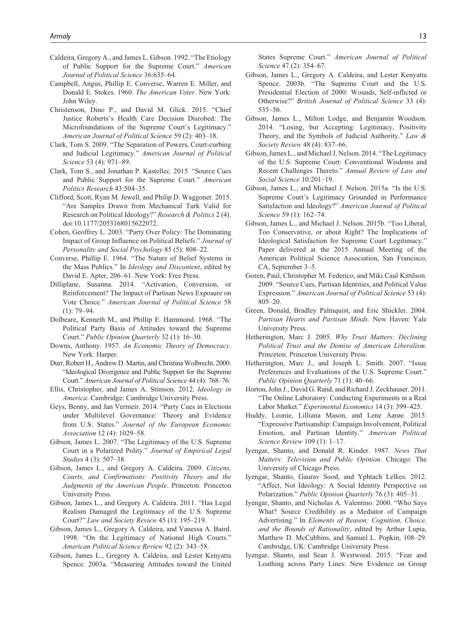- Caldeira, Gregory A., and James L. Gibson. 1992. "The Etiology of Public Support for the Supreme Court." *American Journal of Political Science* 36:635–64.
- Campbell, Angus, Phillip E. Converse, Warren E. Miller, and Donald E. Stokes. 1960. *The American Voter*. New York: John Wiley.
- Christenson, Dino P., and David M. Glick. 2015. "Chief Justice Roberts's Health Care Decision Disrobed: The Microfoundations of the Supreme Court's Legitimacy." *American Journal of Political Science* 59 (2): 403–18.
- Clark, Tom S. 2009. "The Separation of Powers, Court-curbing and Judicial Legitimacy." *American Journal of Political Science* 53 (4): 971–89.
- Clark, Tom S., and Jonathan P. Kastellec. 2015. "Source Cues and Public Support for the Supreme Court." *American Politics Research* 43:504–35.
- Clifford, Scott, Ryan M. Jewell, and Philip D. Waggoner. 2015. "Are Samples Drawn from Mechanical Turk Valid for Research on Political Ideology?" *Research & Politics* 2 (4). doi:10.1177/2053168015622072.
- Cohen, Geoffrey L. 2003. "Party Over Policy: The Dominating Impact of Group Influence on Political Beliefs." *Journal of Personality and Social Psychology* 85 (5): 808–22.
- Converse, Phillip E. 1964. "The Nature of Belief Systems in the Mass Publics." In *Ideology and Discontent*, edited by David E. Apter, 206–61. New York: Free Press.
- Dilliplane, Susanna. 2014. "Activation, Conversion, or Reinforcement? The Impact of Partisan News Exposure on Vote Choice." *American Journal of Political Science* 58 (1): 79–94.
- Dolbeare, Kenneth M., and Phillip E. Hammond. 1968. "The Political Party Basis of Attitudes toward the Supreme Court." *Public Opinion Quarterly* 32 (1): 16–30.
- Downs, Anthony. 1957. *An Economic Theory of Democracy*. New York: Harper.
- Durr, Robert H., Andrew D. Martin, and Christina Wolbrecht. 2000. "Ideological Divergence and Public Support for the Supreme Court." *American Journal of Political Science* 44 (4): 768–76.
- Ellis, Christopher, and James A. Stimson. 2012. *Ideology in America*. Cambridge: Cambridge University Press.
- Geys, Benny, and Jan Vermeir. 2014. "Party Cues in Elections under Multilevel Governance: Theory and Evidence from U.S. States." *Journal of the European Economic Association* 12 (4): 1029–58.
- Gibson, James L. 2007. "The Legitimacy of the U.S. Supreme Court in a Polarized Polity." *Journal of Empirical Legal Studies* 4 (3): 507–38.
- Gibson, James L., and Gregory A. Caldeira. 2009. *Citizens, Courts, and Confirmations: Positivity Theory and the Judgments of the American People*. Princeton: Princeton University Press.
- Gibson, James L., and Gregory A. Caldeira. 2011. "Has Legal Realism Damaged the Legitimacy of the U.S. Supreme Court?" *Law and Society Review* 45 (1): 195–219.
- Gibson, James L., Gregory A. Caldeira, and Vanessa A. Baird. 1998. "On the Legitimacy of National High Courts." *American Political Science Review* 92 (2): 343–58.
- Gibson, James L., Gregory A. Caldeira, and Lester Kenyatta Spence. 2003a. "Measuring Attitudes toward the United

States Supreme Court." *American Journal of Political Science* 47 (2): 354–67.

- Gibson, James L., Gregory A. Caldeira, and Lester Kenyatta Spence. 2003b. "The Supreme Court and the U.S. Presidential Election of 2000: Wounds, Self-inflicted or Otherwise?" *British Journal of Political Science* 33 (4): 535–56.
- Gibson, James L., Milton Lodge, and Benjamin Woodson. 2014. "Losing, but Accepting: Legitimacy, Positivity Theory, and the Symbols of Judicial Authority." *Law & Society Review* 48 (4): 837–66.
- Gibson, James L., and Michael J. Nelson. 2014. "The Legitimacy of the U.S. Supreme Court: Conventional Wisdoms and Recent Challenges Thereto." *Annual Review of Law and Social Science* 10:201–19.
- Gibson, James L., and Michael J. Nelson. 2015a. "Is the U.S. Supreme Court's Legitimacy Grounded in Performance Satisfaction and Ideology?" *American Journal of Political Science* 59 (1): 162–74.
- Gibson, James L., and Michael J. Nelson. 2015b. "Too Liberal, Too Conservative, or about Right? The Implications of Ideological Satisfaction for Supreme Court Legitimacy." Paper delivered at the 2015 Annual Meeting of the American Political Science Association, San Francisco, CA, September 3–5.
- Goren, Paul, Christopher M. Federico, and Miki Caul Kittilson. 2009. "Source Cues, Partisan Identities, and Political Value Expression." *American Journal of Political Science* 53 (4): 805–20.
- Green, Donald, Bradley Palmquist, and Eric Shickler. 2004. *Partisan Hearts and Partisan Minds*. New Haven: Yale University Press.
- Hetherington, Marc J. 2005. *Why Trust Matters: Declining Political Trust and the Demise of American Liberalism*. Princeton: Princeton University Press.
- Hetherington, Marc J., and Joseph L. Smith. 2007. "Issue Preferences and Evaluations of the U.S. Supreme Court." *Public Opinion Quarterly* 71 (1): 40–66.
- Horton, John J., David G. Rand, and Richard J. Zeckhauser. 2011. "The Online Laboratory: Conducting Experiments in a Real Labor Market." *Experimental Economics* 14 (3): 399–425.
- Huddy, Leonie, Lilliana Mason, and Lene Aarøe. 2015. "Expressive Partisanship: Campaign Involvement, Political Emotion, and Partisan Identity." *American Political Science Review* 109 (1): 1–17.
- Iyengar, Shanto, and Donald R. Kinder. 1987. *News That Matters: Television and Public Opinion*. Chicago: The University of Chicago Press.
- Iyengar, Shanto, Gaurav Sood, and Yphtach Lelkes. 2012. "Affect, Not Ideology: A Social Identity Perspective on Polarization." *Public Opinion Quarterly* 76 (3): 405–31.
- Iyengar, Shanto, and Nicholas A. Valentino. 2000. "Who Says What? Source Credibility as a Mediator of Campaign Advertising." In *Elements of Reason: Cognition, Choice, and the Bounds of Rationality*, edited by Arthur Lupia, Matthew D. McCubbins, and Samuel L. Popkin, 108–29. Cambridge, UK: Cambridge University Press.
- Iyengar, Shanto, and Sean J. Westwood. 2015. "Fear and Loathing across Party Lines: New Evidence on Group